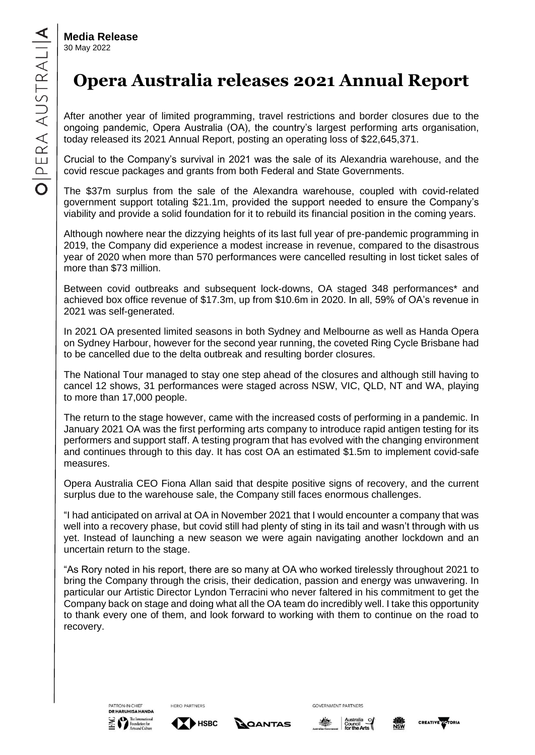**Media Release** 30 May 2022

## **Opera Australia releases 2021 Annual Report**

After another year of limited programming, travel restrictions and border closures due to the ongoing pandemic, Opera Australia (OA), the country's largest performing arts organisation, today released its 2021 Annual Report, posting an operating loss of \$22,645,371.

Crucial to the Company's survival in 2021 was the sale of its Alexandria warehouse, and the covid rescue packages and grants from both Federal and State Governments.

The \$37m surplus from the sale of the Alexandra warehouse, coupled with covid-related government support totaling \$21.1m, provided the support needed to ensure the Company's viability and provide a solid foundation for it to rebuild its financial position in the coming years.

Although nowhere near the dizzying heights of its last full year of pre-pandemic programming in 2019, the Company did experience a modest increase in revenue, compared to the disastrous year of 2020 when more than 570 performances were cancelled resulting in lost ticket sales of more than \$73 million.

Between covid outbreaks and subsequent lock-downs, OA staged 348 performances\* and achieved box office revenue of \$17.3m, up from \$10.6m in 2020. In all, 59% of OA's revenue in 2021 was self-generated.

In 2021 OA presented limited seasons in both Sydney and Melbourne as well as Handa Opera on Sydney Harbour, however for the second year running, the coveted Ring Cycle Brisbane had to be cancelled due to the delta outbreak and resulting border closures.

The National Tour managed to stay one step ahead of the closures and although still having to cancel 12 shows, 31 performances were staged across NSW, VIC, QLD, NT and WA, playing to more than 17,000 people.

The return to the stage however, came with the increased costs of performing in a pandemic. In January 2021 OA was the first performing arts company to introduce rapid antigen testing for its performers and support staff. A testing program that has evolved with the changing environment and continues through to this day. It has cost OA an estimated \$1.5m to implement covid-safe measures.

Opera Australia CEO Fiona Allan said that despite positive signs of recovery, and the current surplus due to the warehouse sale, the Company still faces enormous challenges.

"I had anticipated on arrival at OA in November 2021 that I would encounter a company that was well into a recovery phase, but covid still had plenty of sting in its tail and wasn't through with us yet. Instead of launching a new season we were again navigating another lockdown and an uncertain return to the stage.

"As Rory noted in his report, there are so many at OA who worked tirelessly throughout 2021 to bring the Company through the crisis, their dedication, passion and energy was unwavering. In particular our Artistic Director Lyndon Terracini who never faltered in his commitment to get the Company back on stage and doing what all the OA team do incredibly well. I take this opportunity to thank every one of them, and look forward to working with them to continue on the road to recovery.





**HERO PARTNERS** 





**GOVERNMENT PARTNERS**